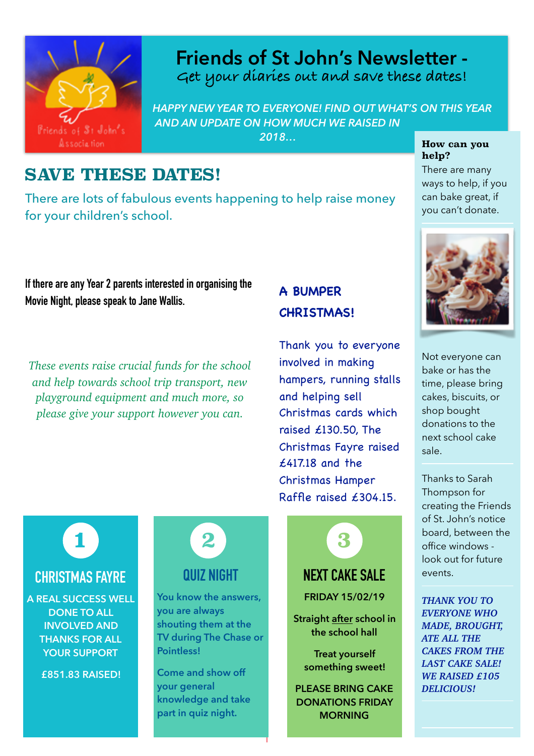

## **Get your diaries out and save these dates! Friends of St John's Newsletter -**

*HAPPY NEW YEAR TO EVERYONE! FIND OUT WHAT'S ON THIS YEAR AND AN UPDATE ON HOW MUCH WE RAISED IN 2018…*

#### **SAVE THESE DATES!**

There are lots of fabulous events happening to help raise money for your children's school.

#### **If there are any Year 2 parents interested in organising the Movie Night, please speak to Jane Wallis.**

*These events raise crucial funds for the school and help towards school trip transport, new playground equipment and much more, so please give your support however you can.*

#### **A BUMPER CHRISTMAS!**

Thank you to everyone involved in making hampers, running stalls and helping sell Christmas cards which raised £130.50, The Christmas Fayre raised £417.18 and the Christmas Hamper Raffle raised £304.15.



**Straight after school in the school hall** 

**Treat yourself something sweet!** 

**PLEASE BRING CAKE DONATIONS FRIDAY MORNING**

#### **How can you help?**

There are many ways to help, if you can bake great, if you can't donate.



Not everyone can bake or has the time, please bring cakes, biscuits, or shop bought donations to the next school cake sale.

Thanks to Sarah Thompson for creating the Friends of St. John's notice board, between the office windows look out for future events.

*THANK YOU TO EVERYONE WHO MADE, BROUGHT, ATE ALL THE CAKES FROM THE LAST CAKE SALE! WE RAISED £105 DELICIOUS!* 

**1**

#### **CHRISTMAS FAYRE**

**A REAL SUCCESS WELL DONE TO ALL INVOLVED AND THANKS FOR ALL YOUR SUPPORT** 

**£851.83 RAISED!**

# **2**

### **QUIZ NIGHT**

**You know the answers, you are always shouting them at the TV during The Chase or Pointless!** 

**Come and show off your general knowledge and take part in quiz night.** 

**1**